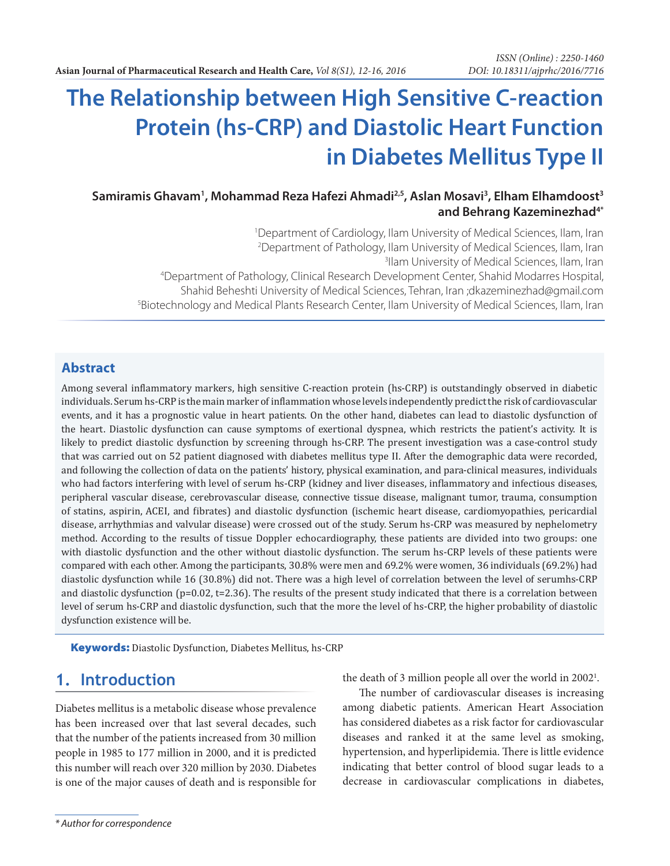# **The Relationship between High Sensitive C-reaction Protein (hs-CRP) and Diastolic Heart Function in Diabetes Mellitus Type II**

**Samiramis Ghavam1 , Mohammad Reza Hafezi Ahmadi2,5, Aslan Mosavi3 , Elham Elhamdoost3 and Behrang Kazeminezhad4\***

1 Department of Cardiology, Ilam University of Medical Sciences, Ilam, Iran <sup>2</sup> Department of Pathology, Ilam University of Medical Sciences, Ilam, Iran 3<br>31 am University of Medical Sciences, Ilam, Iran <sup>3</sup>llam University of Medical Sciences, Ilam, Iran 4 Department of Pathology, Clinical Research Development Center, Shahid Modarres Hospital, Shahid Beheshti University of Medical Sciences, Tehran, Iran ;dkazeminezhad@gmail.com 5 Biotechnology and Medical Plants Research Center, Ilam University of Medical Sciences, Ilam, Iran

#### **Abstract**

Among several inflammatory markers, high sensitive C-reaction protein (hs-CRP) is outstandingly observed in diabetic individuals. Serum hs-CRP is the main marker of inflammation whose levels independently predict the risk of cardiovascular events, and it has a prognostic value in heart patients. On the other hand, diabetes can lead to diastolic dysfunction of the heart. Diastolic dysfunction can cause symptoms of exertional dyspnea, which restricts the patient's activity. It is likely to predict diastolic dysfunction by screening through hs-CRP. The present investigation was a case-control study that was carried out on 52 patient diagnosed with diabetes mellitus type II. After the demographic data were recorded, and following the collection of data on the patients' history, physical examination, and para-clinical measures, individuals who had factors interfering with level of serum hs-CRP (kidney and liver diseases, inflammatory and infectious diseases, peripheral vascular disease, cerebrovascular disease, connective tissue disease, malignant tumor, trauma, consumption of statins, aspirin, ACEI, and fibrates) and diastolic dysfunction (ischemic heart disease, cardiomyopathies, pericardial disease, arrhythmias and valvular disease) were crossed out of the study. Serum hs-CRP was measured by nephelometry method. According to the results of tissue Doppler echocardiography, these patients are divided into two groups: one with diastolic dysfunction and the other without diastolic dysfunction. The serum hs-CRP levels of these patients were compared with each other. Among the participants, 30.8% were men and 69.2% were women, 36 individuals (69.2%) had diastolic dysfunction while 16 (30.8%) did not. There was a high level of correlation between the level of serumhs-CRP and diastolic dysfunction ( $p=0.02$ ,  $t=2.36$ ). The results of the present study indicated that there is a correlation between level of serum hs-CRP and diastolic dysfunction, such that the more the level of hs-CRP, the higher probability of diastolic dysfunction existence will be.

**Keywords:** Diastolic Dysfunction, Diabetes Mellitus, hs-CRP

#### **1. Introduction**

Diabetes mellitus is a metabolic disease whose prevalence has been increased over that last several decades, such that the number of the patients increased from 30 million people in 1985 to 177 million in 2000, and it is predicted this number will reach over 320 million by 2030. Diabetes is one of the major causes of death and is responsible for the death of 3 million people all over the world in 2002<sup>1</sup>.

The number of cardiovascular diseases is increasing among diabetic patients. American Heart Association has considered diabetes as a risk factor for cardiovascular diseases and ranked it at the same level as smoking, hypertension, and hyperlipidemia. There is little evidence indicating that better control of blood sugar leads to a decrease in cardiovascular complications in diabetes,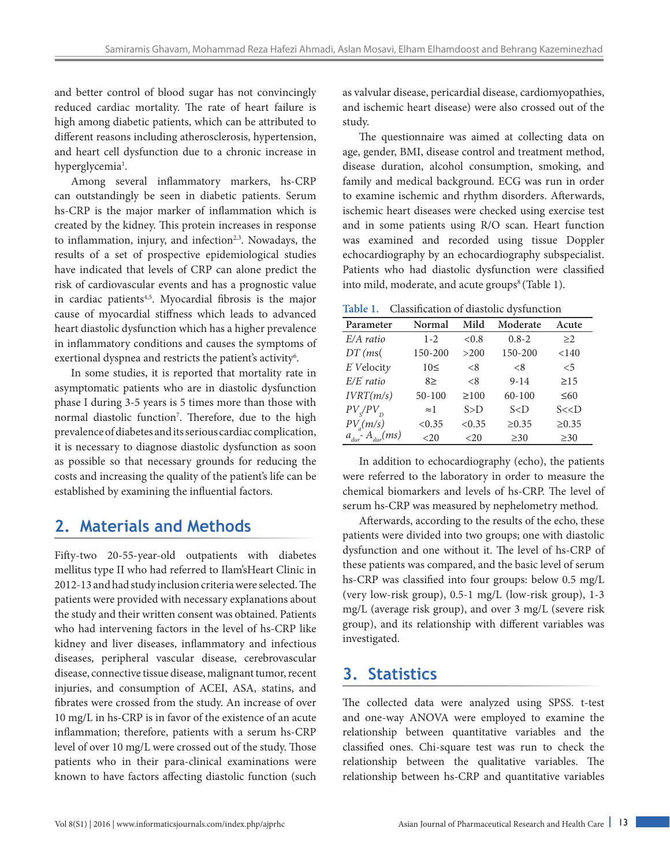and better control of blood sugar has not convincingly reduced cardiac mortality. The rate of heart failure is high among diabetic patients, which can be attributed to different reasons including atherosclerosis, hypertension, and heart cell dysfunction due to a chronic increase in hyperglycemia<sup>1</sup>.

Among several inflammatory markers, hs-CRP can outstandingly be seen in diabetic patients. Serum hs-CRP is the major marker of inflammation which is created by the kidney. This protein increases in response to inflammation, injury, and infection $2,3$ . Nowadays, the results of a set of prospective epidemiological studies have indicated that levels of CRP can alone predict the risk of cardiovascular events and has a prognostic value in cardiac patients<sup>4,5</sup>. Myocardial fibrosis is the major cause of myocardial stiffness which leads to advanced heart diastolic dysfunction which has a higher prevalence in inflammatory conditions and causes the symptoms of exertional dyspnea and restricts the patient's activity<sup>6</sup>.

In some studies, it is reported that mortality rate in asymptomatic patients who are in diastolic dysfunction phase I during 3-5 years is 5 times more than those with normal diastolic function<sup>7</sup>. Therefore, due to the high prevalence of diabetes and its serious cardiac complication, it is necessary to diagnose diastolic dysfunction as soon as possible so that necessary grounds for reducing the costs and increasing the quality of the patient's life can be established by examining the influential factors.

## **2. Materials and Methods**

Fifty-two 20-55-year-old outpatients with diabetes mellitus type II who had referred to Ilam'sHeart Clinic in 2012-13 and had study inclusion criteria were selected. The patients were provided with necessary explanations about the study and their written consent was obtained. Patients who had intervening factors in the level of hs-CRP like kidney and liver diseases, inflammatory and infectious diseases, peripheral vascular disease, cerebrovascular disease, connective tissue disease, malignant tumor, recent injuries, and consumption of ACEI, ASA, statins, and fibrates were crossed from the study. An increase of over 10 mg/L in hs-CRP is in favor of the existence of an acute inflammation; therefore, patients with a serum hs-CRP level of over 10 mg/L were crossed out of the study. Those patients who in their para-clinical examinations were known to have factors affecting diastolic function (such

as valvular disease, pericardial disease, cardiomyopathies, and ischemic heart disease) were also crossed out of the study.

The questionnaire was aimed at collecting data on age, gender, BMI, disease control and treatment method, disease duration, alcohol consumption, smoking, and family and medical background. ECG was run in order to examine ischemic and rhythm disorders. Afterwards, ischemic heart diseases were checked using exercise test and in some patients using R/O scan. Heart function was examined and recorded using tissue Doppler echocardiography by an echocardiography subspecialist. Patients who had diastolic dysfunction were classified into mild, moderate, and acute groups<sup>8</sup> (Table 1).

**Table 1.** Classification of diastolic dysfunction

| Parameter                             | Normal      | Mild       | Moderate         | Acute      |
|---------------------------------------|-------------|------------|------------------|------------|
| E/A ratio                             | $1 - 2$     | < 0.8      | $0.8 - 2$        | $\geq$ 2   |
| $DT$ (ms(                             | 150-200     | >200       | 150-200          | < 140      |
| $E$ Velocity                          | $10 \leq$   | < 8        | < 8              | $\leq$ 5   |
| $E/E$ ratio                           | 8>          | < 8        | $9 - 14$         | $\geq$ 15  |
| IVRT(m/s)                             | $50 - 100$  | $\geq 100$ | $60 - 100$       | $\leq 60$  |
| $PV_s/PV_p$                           | $\approx$ 1 | $S>$ D     | $S<\overline{D}$ | S << D     |
| $PV_a(m/s)$                           | < 0.35      | < 0.35     | $\geq 0.35$      | $\ge 0.35$ |
| $a_{\text{dur}}^T A_{\text{dur}}(ms)$ | <20         | <20        | $\geq 30$        | $\geq 30$  |

In addition to echocardiography (echo), the patients were referred to the laboratory in order to measure the chemical biomarkers and levels of hs-CRP. The level of serum hs-CRP was measured by nephelometry method.

Afterwards, according to the results of the echo, these patients were divided into two groups; one with diastolic dysfunction and one without it. The level of hs-CRP of these patients was compared, and the basic level of serum hs-CRP was classified into four groups: below 0.5 mg/L (very low-risk group), 0.5-1 mg/L (low-risk group), 1-3 mg/L (average risk group), and over 3 mg/L (severe risk group), and its relationship with different variables was investigated.

### **3. Statistics**

The collected data were analyzed using SPSS. t-test and one-way ANOVA were employed to examine the relationship between quantitative variables and the classified ones. Chi-square test was run to check the relationship between the qualitative variables. The relationship between hs-CRP and quantitative variables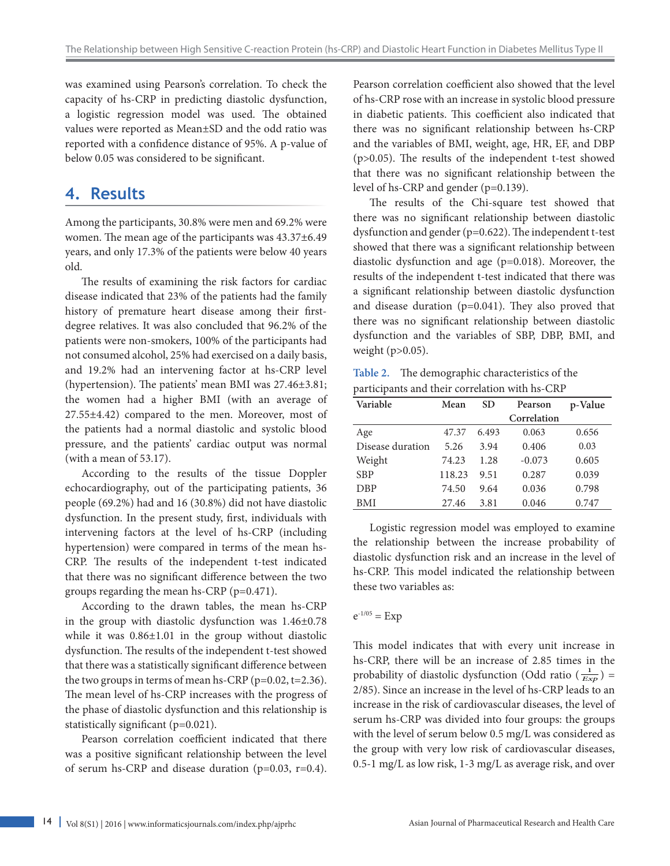was examined using Pearson's correlation. To check the capacity of hs-CRP in predicting diastolic dysfunction, a logistic regression model was used. The obtained values were reported as Mean±SD and the odd ratio was reported with a confidence distance of 95%. A p-value of below 0.05 was considered to be significant.

## **4. Results**

Among the participants, 30.8% were men and 69.2% were women. The mean age of the participants was 43.37±6.49 years, and only 17.3% of the patients were below 40 years old.

The results of examining the risk factors for cardiac disease indicated that 23% of the patients had the family history of premature heart disease among their firstdegree relatives. It was also concluded that 96.2% of the patients were non-smokers, 100% of the participants had not consumed alcohol, 25% had exercised on a daily basis, and 19.2% had an intervening factor at hs-CRP level (hypertension). The patients' mean BMI was 27.46±3.81; the women had a higher BMI (with an average of 27.55±4.42) compared to the men. Moreover, most of the patients had a normal diastolic and systolic blood pressure, and the patients' cardiac output was normal (with a mean of 53.17).

According to the results of the tissue Doppler echocardiography, out of the participating patients, 36 people (69.2%) had and 16 (30.8%) did not have diastolic dysfunction. In the present study, first, individuals with intervening factors at the level of hs-CRP (including hypertension) were compared in terms of the mean hs-CRP. The results of the independent t-test indicated that there was no significant difference between the two groups regarding the mean hs-CRP (p=0.471).

According to the drawn tables, the mean hs-CRP in the group with diastolic dysfunction was 1.46±0.78 while it was 0.86±1.01 in the group without diastolic dysfunction. The results of the independent t-test showed that there was a statistically significant difference between the two groups in terms of mean hs-CRP ( $p=0.02$ ,  $t=2.36$ ). The mean level of hs-CRP increases with the progress of the phase of diastolic dysfunction and this relationship is statistically significant (p=0.021).

Pearson correlation coefficient indicated that there was a positive significant relationship between the level of serum hs-CRP and disease duration (p=0.03, r=0.4). Pearson correlation coefficient also showed that the level of hs-CRP rose with an increase in systolic blood pressure in diabetic patients. This coefficient also indicated that there was no significant relationship between hs-CRP and the variables of BMI, weight, age, HR, EF, and DBP (p>0.05). The results of the independent t-test showed that there was no significant relationship between the level of hs-CRP and gender (p=0.139).

The results of the Chi-square test showed that there was no significant relationship between diastolic dysfunction and gender (p=0.622). The independent t-test showed that there was a significant relationship between diastolic dysfunction and age (p=0.018). Moreover, the results of the independent t-test indicated that there was a significant relationship between diastolic dysfunction and disease duration (p=0.041). They also proved that there was no significant relationship between diastolic dysfunction and the variables of SBP, DBP, BMI, and weight (p>0.05).

**Table 2.** The demographic characteristics of the participants and their correlation with hs-CRP

| Variable         | Mean   | <b>SD</b> | Pearson     | p-Value |
|------------------|--------|-----------|-------------|---------|
|                  |        |           | Correlation |         |
| Age              | 47.37  | 6.493     | 0.063       | 0.656   |
| Disease duration | 5.26   | 3.94      | 0.406       | 0.03    |
| Weight           | 74.23  | 1.28      | $-0.073$    | 0.605   |
| <b>SBP</b>       | 118.23 | 9.51      | 0.287       | 0.039   |
| <b>DBP</b>       | 74.50  | 9.64      | 0.036       | 0.798   |
| <b>BMI</b>       | 27.46  | 3.81      | 0.046       | 0.747   |

Logistic regression model was employed to examine the relationship between the increase probability of diastolic dysfunction risk and an increase in the level of hs-CRP. This model indicated the relationship between these two variables as:

#### $e^{-1/05} = Exp$

This model indicates that with every unit increase in hs-CRP, there will be an increase of 2.85 times in the probability of diastolic dysfunction (Odd ratio  $(\frac{1}{Exp})$  = 2/85). Since an increase in the level of hs-CRP leads to an increase in the risk of cardiovascular diseases, the level of serum hs-CRP was divided into four groups: the groups with the level of serum below 0.5 mg/L was considered as the group with very low risk of cardiovascular diseases, 0.5-1 mg/L as low risk, 1-3 mg/L as average risk, and over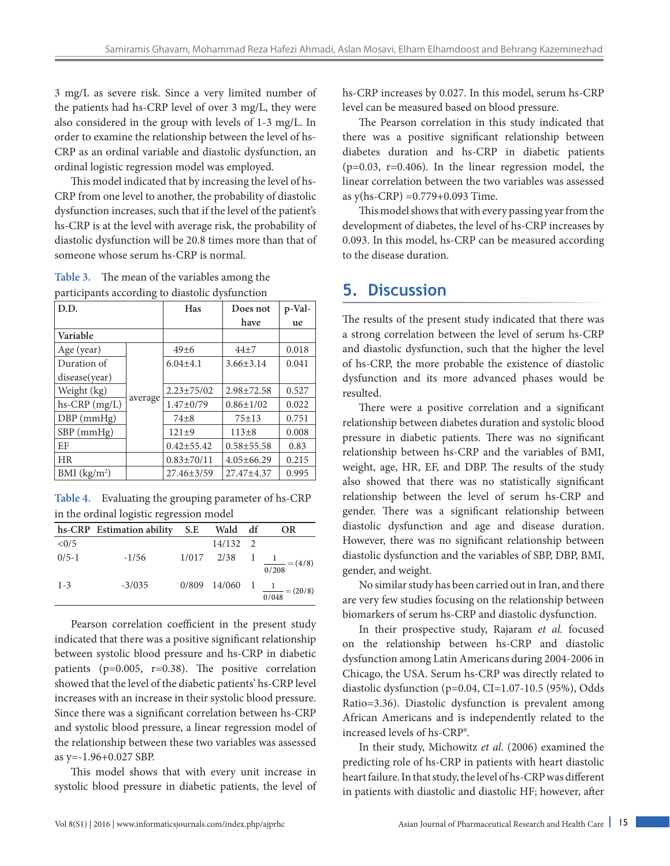3 mg/L as severe risk. Since a very limited number of the patients had hs-CRP level of over 3 mg/L, they were also considered in the group with levels of 1-3 mg/L. In order to examine the relationship between the level of hs-CRP as an ordinal variable and diastolic dysfunction, an ordinal logistic regression model was employed.

This model indicated that by increasing the level of hs-CRP from one level to another, the probability of diastolic dysfunction increases, such that if the level of the patient's hs-CRP is at the level with average risk, the probability of diastolic dysfunction will be 20.8 times more than that of someone whose serum hs-CRP is normal.

**Table 3.** The mean of the variables among the participants according to diastolic dysfunction

| D.D.            |         | Has              | Does not         | p-Val- |
|-----------------|---------|------------------|------------------|--------|
|                 |         |                  | have             | ue     |
| Variable        |         |                  |                  |        |
| Age (year)      |         | 49±6             | $44\pm7$         | 0.018  |
| Duration of     |         | $6.04 \pm 4.1$   | $3.66 \pm 3.14$  | 0.041  |
| disease(year)   |         |                  |                  |        |
| Weight (kg)     |         | $2.23 \pm 75/02$ | $2.98 \pm 72.58$ | 0.527  |
| $hs-CRP$ (mg/L) | average | $1.47 \pm 0/79$  | $0.86 \pm 1/02$  | 0.022  |
| $DBP$ (mmHg)    |         | $74 + 8$         | $75 + 13$        | 0.751  |
| SBP (mmHg)      |         | $121\pm9$        | $113+8$          | 0.008  |
| EF              |         | $0.42 \pm 55.42$ | $0.58 + 55.58$   | 0.83   |
| <b>HR</b>       |         | $0.83 \pm 70/11$ | $4.05 \pm 66.29$ | 0.215  |
| BMI $(kg/m2)$   |         | $27.46 \pm 3/59$ | 27.47±4.37       | 0.995  |

**Table 4.** Evaluating the grouping parameter of hs-CRP in the ordinal logistic regression model

|           | hs-CRP Estimation ability | S.E | Wald df        |  | OR                                                |
|-----------|---------------------------|-----|----------------|--|---------------------------------------------------|
| < 0/5     |                           |     | 14/132 2       |  |                                                   |
| $0/5 - 1$ | $-1/56$                   |     | $1/017$ $2/38$ |  | $\frac{1}{0/208} = (4/8)$                         |
| $1 - 3$   | $-3/035$                  |     |                |  | $0/809$ 14/060 1 $\frac{1}{0/048} = (20/8)^{1/2}$ |

Pearson correlation coefficient in the present study indicated that there was a positive significant relationship between systolic blood pressure and hs-CRP in diabetic patients (p=0.005, r=0.38). The positive correlation showed that the level of the diabetic patients' hs-CRP level increases with an increase in their systolic blood pressure. Since there was a significant correlation between hs-CRP and systolic blood pressure, a linear regression model of the relationship between these two variables was assessed as y=-1.96+0.027 SBP.

This model shows that with every unit increase in systolic blood pressure in diabetic patients, the level of hs-CRP increases by 0.027. In this model, serum hs-CRP level can be measured based on blood pressure.

The Pearson correlation in this study indicated that there was a positive significant relationship between diabetes duration and hs-CRP in diabetic patients  $(p=0.03, r=0.406)$ . In the linear regression model, the linear correlation between the two variables was assessed as y(hs-CRP) =0.779+0.093 Time.

This model shows that with every passing year from the development of diabetes, the level of hs-CRP increases by 0.093. In this model, hs-CRP can be measured according to the disease duration.

### **5. Discussion**

The results of the present study indicated that there was a strong correlation between the level of serum hs-CRP and diastolic dysfunction, such that the higher the level of hs-CRP, the more probable the existence of diastolic dysfunction and its more advanced phases would be resulted.

There were a positive correlation and a significant relationship between diabetes duration and systolic blood pressure in diabetic patients. There was no significant relationship between hs-CRP and the variables of BMI, weight, age, HR, EF, and DBP. The results of the study also showed that there was no statistically significant relationship between the level of serum hs-CRP and gender. There was a significant relationship between diastolic dysfunction and age and disease duration. However, there was no significant relationship between diastolic dysfunction and the variables of SBP, DBP, BMI, gender, and weight.

No similar study has been carried out in Iran, and there are very few studies focusing on the relationship between biomarkers of serum hs-CRP and diastolic dysfunction.

In their prospective study, Rajaram *et al.* focused on the relationship between hs-CRP and diastolic dysfunction among Latin Americans during 2004-2006 in Chicago, the USA. Serum hs-CRP was directly related to diastolic dysfunction (p=0.04, CI=1.07-10.5 (95%), Odds Ratio=3.36). Diastolic dysfunction is prevalent among African Americans and is independently related to the increased levels of hs-CRP9 .

In their study, Michowitz *et al*. (2006) examined the predicting role of hs-CRP in patients with heart diastolic heart failure. In that study, the level of hs-CRP was different in patients with diastolic and diastolic HF; however, after